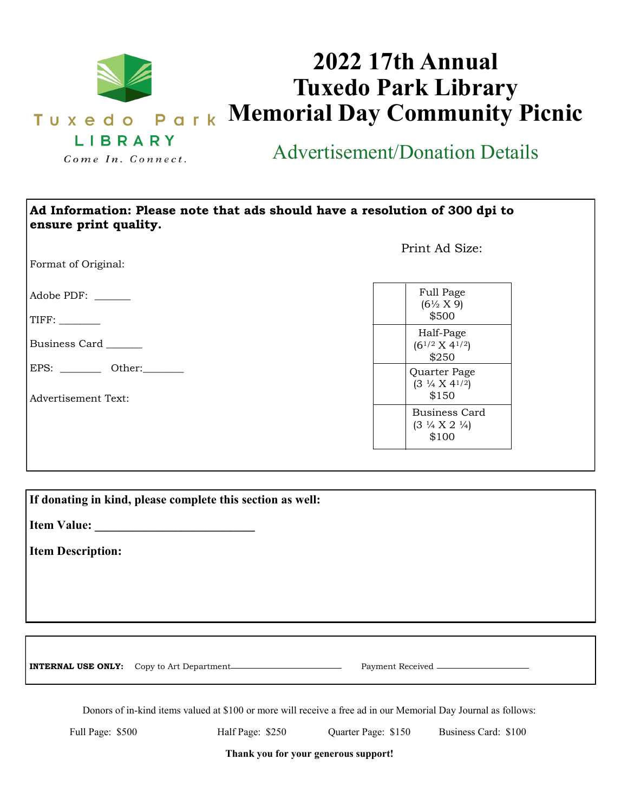

## **2022 17th Annual Tuxedo Park Library Memorial Day Community Picnic**

Advertisement/Donation Details

| Ad Information: Please note that ads should have a resolution of 300 dpi to<br>ensure print quality. |                                                                  |  |
|------------------------------------------------------------------------------------------------------|------------------------------------------------------------------|--|
| Format of Original:                                                                                  | Print Ad Size:                                                   |  |
| Adobe PDF:<br>TIFF:                                                                                  | Full Page<br>$(6\frac{1}{2} X 9)$<br>\$500                       |  |
| Business Card                                                                                        | Half-Page<br>$(6^{1/2} \times 4^{1/2})$<br>\$250                 |  |
| EPS: Other:<br><b>Advertisement Text:</b>                                                            | Quarter Page<br>$(3 \frac{1}{4} \times 4^{1/2})$<br>\$150        |  |
|                                                                                                      | Business Card<br>$(3 \frac{1}{4} \times 2 \frac{1}{4})$<br>\$100 |  |

|                          | If donating in kind, please complete this section as well: |                  |  |
|--------------------------|------------------------------------------------------------|------------------|--|
|                          |                                                            |                  |  |
| <b>Item Description:</b> |                                                            |                  |  |
|                          |                                                            |                  |  |
|                          |                                                            |                  |  |
|                          |                                                            |                  |  |
|                          |                                                            |                  |  |
|                          | <b>INTERNAL USE ONLY:</b> Copy to Art Department.          | Payment Received |  |

Donors of in-kind items valued at \$100 or more will receive a free ad in our Memorial Day Journal as follows:

Full Page: \$500 Half Page: \$250 Quarter Page: \$150 Business Card: \$100

**Thank you for your generous support!**